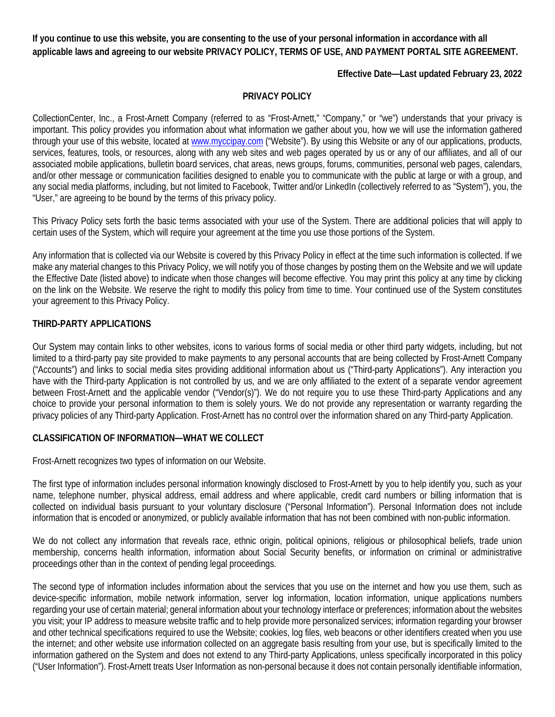**If you continue to use this website, you are consenting to the use of your personal information in accordance with all applicable laws and agreeing to our website PRIVACY POLICY, TERMS OF USE, AND PAYMENT PORTAL SITE AGREEMENT.**

### **Effective Date—Last updated February 23, 2022**

#### **PRIVACY POLICY**

CollectionCenter, Inc., a Frost-Arnett Company (referred to as "Frost-Arnett," "Company," or "we") understands that your privacy is important. This policy provides you information about what information we gather about you, how we will use the information gathered through your use of this website, located at [www.myccipay.com](http://www.myccipay.com/) ("Website"). By using this Website or any of our applications, products, services, features, tools, or resources, along with any web sites and web pages operated by us or any of our affiliates, and all of our associated mobile applications, bulletin board services, chat areas, news groups, forums, communities, personal web pages, calendars, and/or other message or communication facilities designed to enable you to communicate with the public at large or with a group, and any social media platforms, including, but not limited to Facebook, Twitter and/or LinkedIn (collectively referred to as "System"), you, the "User," are agreeing to be bound by the terms of this privacy policy.

This Privacy Policy sets forth the basic terms associated with your use of the System. There are additional policies that will apply to certain uses of the System, which will require your agreement at the time you use those portions of the System.

Any information that is collected via our Website is covered by this Privacy Policy in effect at the time such information is collected. If we make any material changes to this Privacy Policy, we will notify you of those changes by posting them on the Website and we will update the Effective Date (listed above) to indicate when those changes will become effective. You may print this policy at any time by clicking on the link on the Website. We reserve the right to modify this policy from time to time. Your continued use of the System constitutes your agreement to this Privacy Policy.

## **THIRD-PARTY APPLICATIONS**

Our System may contain links to other websites, icons to various forms of social media or other third party widgets, including, but not limited to a third-party pay site provided to make payments to any personal accounts that are being collected by Frost-Arnett Company ("Accounts") and links to social media sites providing additional information about us ("Third-party Applications"). Any interaction you have with the Third-party Application is not controlled by us, and we are only affiliated to the extent of a separate vendor agreement between Frost-Arnett and the applicable vendor ("Vendor(s)"). We do not require you to use these Third-party Applications and any choice to provide your personal information to them is solely yours. We do not provide any representation or warranty regarding the privacy policies of any Third-party Application. Frost-Arnett has no control over the information shared on any Third-party Application.

#### **CLASSIFICATION OF INFORMATION—WHAT WE COLLECT**

Frost-Arnett recognizes two types of information on our Website.

The first type of information includes personal information knowingly disclosed to Frost-Arnett by you to help identify you, such as your name, telephone number, physical address, email address and where applicable, credit card numbers or billing information that is collected on individual basis pursuant to your voluntary disclosure ("Personal Information"). Personal Information does not include information that is encoded or anonymized, or publicly available information that has not been combined with non-public information.

We do not collect any information that reveals race, ethnic origin, political opinions, religious or philosophical beliefs, trade union membership, concerns health information, information about Social Security benefits, or information on criminal or administrative proceedings other than in the context of pending legal proceedings.

The second type of information includes information about the services that you use on the internet and how you use them, such as device-specific information, mobile network information, server log information, location information, unique applications numbers regarding your use of certain material; general information about your technology interface or preferences; information about the websites you visit; your IP address to measure website traffic and to help provide more personalized services; information regarding your browser and other technical specifications required to use the Website; cookies, log files, web beacons or other identifiers created when you use the internet; and other website use information collected on an aggregate basis resulting from your use, but is specifically limited to the information gathered on the System and does not extend to any Third-party Applications, unless specifically incorporated in this policy ("User Information"). Frost-Arnett treats User Information as non-personal because it does not contain personally identifiable information,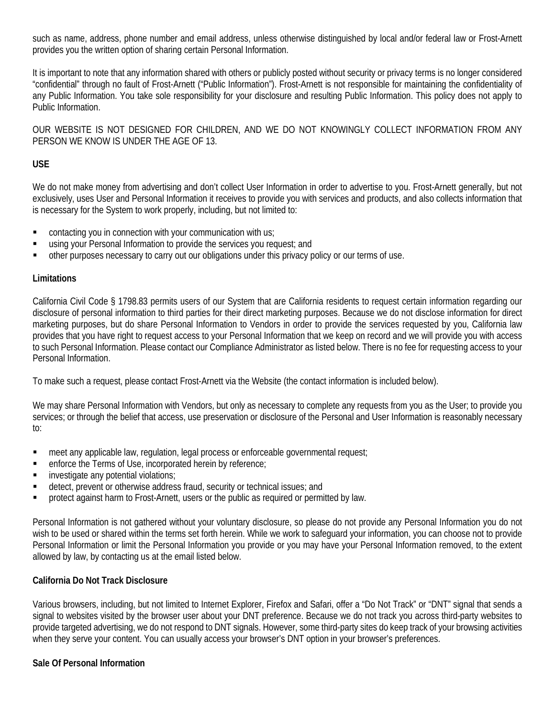such as name, address, phone number and email address, unless otherwise distinguished by local and/or federal law or Frost-Arnett provides you the written option of sharing certain Personal Information.

It is important to note that any information shared with others or publicly posted without security or privacy terms is no longer considered "confidential" through no fault of Frost-Arnett ("Public Information"). Frost-Arnett is not responsible for maintaining the confidentiality of any Public Information. You take sole responsibility for your disclosure and resulting Public Information. This policy does not apply to Public Information.

OUR WEBSITE IS NOT DESIGNED FOR CHILDREN, AND WE DO NOT KNOWINGLY COLLECT INFORMATION FROM ANY PERSON WE KNOW IS UNDER THE AGE OF 13.

## **USE**

We do not make money from advertising and don't collect User Information in order to advertise to you. Frost-Arnett generally, but not exclusively, uses User and Personal Information it receives to provide you with services and products, and also collects information that is necessary for the System to work properly, including, but not limited to:

- **EXECT** contacting you in connection with your communication with us;
- using your Personal Information to provide the services you request; and
- other purposes necessary to carry out our obligations under this privacy policy or our terms of use.

### **Limitations**

California Civil Code § 1798.83 permits users of our System that are California residents to request certain information regarding our disclosure of personal information to third parties for their direct marketing purposes. Because we do not disclose information for direct marketing purposes, but do share Personal Information to Vendors in order to provide the services requested by you, California law provides that you have right to request access to your Personal Information that we keep on record and we will provide you with access to such Personal Information. Please contact our Compliance Administrator as listed below. There is no fee for requesting access to your Personal Information.

To make such a request, please contact Frost-Arnett via the Website (the contact information is included below).

We may share Personal Information with Vendors, but only as necessary to complete any requests from you as the User; to provide you services; or through the belief that access, use preservation or disclosure of the Personal and User Information is reasonably necessary to:

- meet any applicable law, regulation, legal process or enforceable governmental request;
- enforce the Terms of Use, incorporated herein by reference;
- **i** investigate any potential violations;
- detect, prevent or otherwise address fraud, security or technical issues; and
- protect against harm to Frost-Arnett, users or the public as required or permitted by law.

Personal Information is not gathered without your voluntary disclosure, so please do not provide any Personal Information you do not wish to be used or shared within the terms set forth herein. While we work to safeguard your information, you can choose not to provide Personal Information or limit the Personal Information you provide or you may have your Personal Information removed, to the extent allowed by law, by contacting us at the email listed below.

## **California Do Not Track Disclosure**

Various browsers, including, but not limited to Internet Explorer, Firefox and Safari, offer a "Do Not Track" or "DNT" signal that sends a signal to websites visited by the browser user about your DNT preference. Because we do not track you across third-party websites to provide targeted advertising, we do not respond to DNT signals. However, some third-party sites do keep track of your browsing activities when they serve your content. You can usually access your browser's DNT option in your browser's preferences.

#### **Sale Of Personal Information**